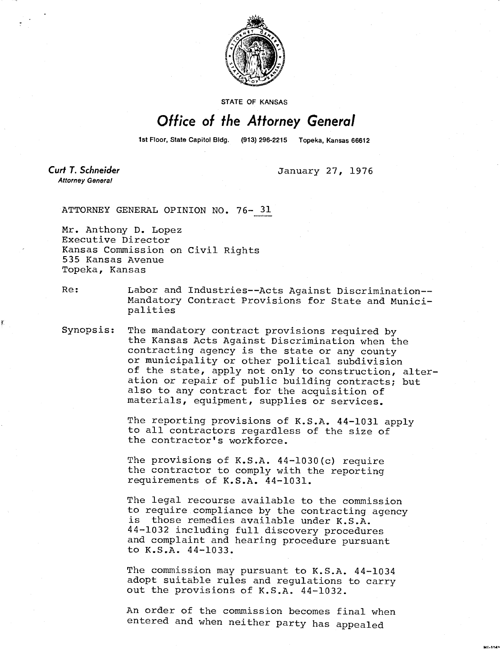

STATE OF KANSAS

## Office of the Attorney General

1st Floor, State Capitol Bldg. (913) 296-2215 Topeka, Kansas 66612

**Curt T. Schneider Attorney General** 

January 27, 1976

ATTORNEY GENERAL OPINION NO. 76- 31

Mr. Anthony D. Lopez Executive Director Kansas Commission on Civil Rights 535 Kansas Avenue Topeka, Kansas

K

Re: Labor and Industries--Acts Against Discrimination-- Mandatory Contract Provisions for State and Municipalities

Synopsis: The mandatory contract provisions required by the Kansas Acts Against Discrimination when the contracting agency is the state or any county or municipality or other political subdivision of the state, apply not only to construction, alteration or repair of public building contracts; but also to any contract for the acquisition of materials, equipment, supplies or services.

> The reporting provisions of K.S.A. 44-1031 apply to all contractors regardless of the size of the contractor's workforce.

The provisions of K.S.A. 44-1030(c) require the contractor to comply with the reporting requirements of K.S.A. 44-1031.

The legal recourse available to the commission to require compliance by the contracting agency is those remedies available under K.S.A. 44-1032 including full discovery procedures and complaint and hearing procedure pursuant to K.S.A. 44-1033.

The commission may pursuant to K.S.A. 44-1034 adopt suitable rules and regulations to carry out the provisions of K.S.A. 44-1032.

An order of the commission becomes final when entered and when neither party has appealed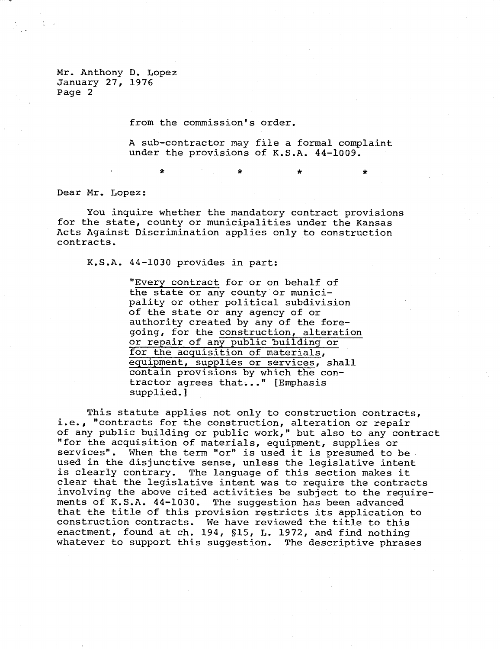from the commission's order.

A sub-contractor may file a formal complaint under the provisions of K.S.A. 44-1009.

Dear Mr. Lopez:

You inquire whether the mandatory contract provisions for the state, county or municipalities under the Kansas Acts Against Discrimination applies only to construction contracts.

 $\star$   $\star$   $\star$ 

K.S.A. 44-1030 provides in part:

"Every contract for or on behalf of the state or any county or municipality or other political subdivision of the state or any agency of or authority created by any of the foregoing, for the construction, alteration or repair of any public building or for the acquisition of materials, equipment, supplies or services, shall contain provisions by which the contractor agrees that..." [Emphasis supplied.]

This statute applies not only to construction contracts, i.e., "contracts for the construction, alteration or repair of any public building or public work," but also to any contract "for the acquisition of materials, equipment, supplies or services". When the term "or" is used it is presumed to be used in the disjunctive sense, unless the legislative intent is clearly contrary. The language of this section makes it clear that the legislative intent was to require the contracts involving the above cited activities be subject to the requirements of K.S.A. 44-1030. The suggestion has been advanced that the title of this provision restricts its application to construction contracts. We have reviewed the title to this enactment, found at ch. 194, §15, L. 1972, and find nothing whatever to support this suggestion. The descriptive phrases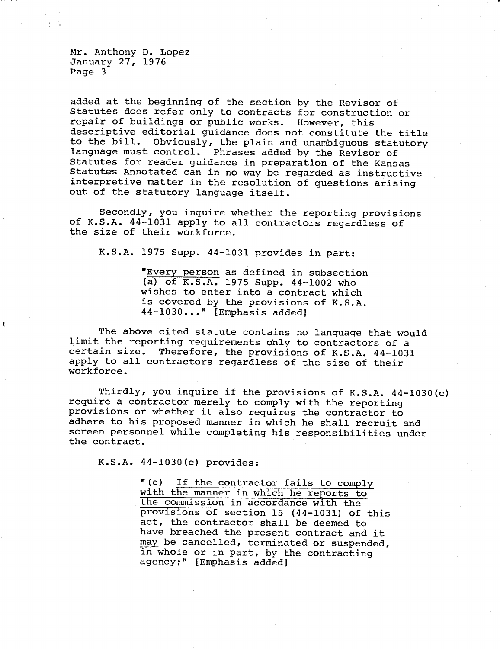added at the beginning of the section by the Revisor of Statutes does refer only to contracts for construction or repair of buildings or public works. However, this descriptive editorial guidance does not constitute the title to the bill. Obviously, the plain and unambiguous statutory language must control. Phrases added by the Revisor of Statutes for reader guidance in preparation of the Kansas Statutes Annotated can in no way be regarded as instructive interpretive matter in the resolution of questions arising out of the statutory language itself.

Secondly, you inquire whether the reporting provisions of K.S.A. 44-1031 apply to all contractors regardless of the size of their workforce.

K.S.A. 1975 Supp. 44-1031 provides in part:

"Every person as defined in subsection (a) of K.S.A. 1975 Supp. 44-1002 who wishes to enter into a contract which is covered by the provisions of K.S.A. 44-1030..." [Emphasis added]

The above cited statute contains no language that would limit the reporting requirements only to contractors of a certain size. Therefore, the provisions of K.S.A. 44-1031 apply to all contractors regardless of the size of their workforce.

Thirdly, you inquire if the provisions of K.S.A. 44-1030(c) require a contractor merely to comply with the reporting provisions or whether it also requires the contractor to adhere to his proposed manner in which he shall recruit and screen personnel while completing his responsibilities under the contract.

K.S.A. 44-1030(c) provides:

"(c) If the contractor fails to comply with the manner in which he reports to the commission in accordance with the provisions of section 15 (44-1031) of this act, the contractor shall be deemed to have breached the present contract and it may be cancelled, terminated or suspended, in whole or in part, by the contracting agency;" [Emphasis added]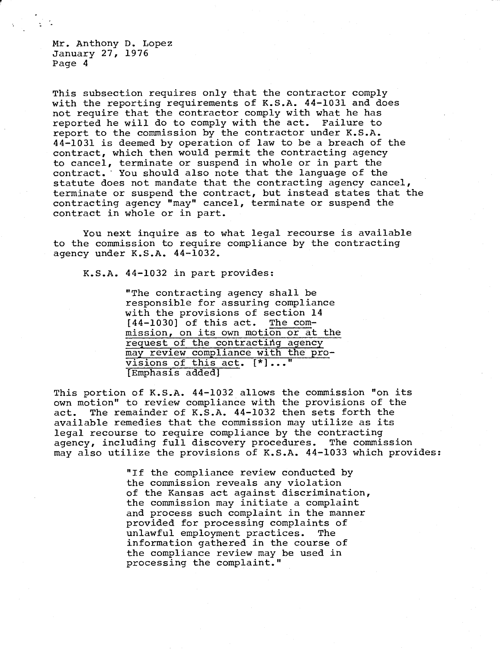This subsection requires only that the contractor comply with the reporting requirements of K.S.A. 44-1031 and does not require that the contractor comply with what he has reported he will do to comply with the act. Failure to report to the commission by the contractor under K.S.A. 44-1031 is deemed by operation of law to be a breach of the contract, which then would permit the contracting agency to cancel, terminate or suspend in whole or in part the contract.' You should also note that the language of the statute does not mandate that the contracting agency cancel, terminate or suspend the contract, but instead states that the contracting agency "may" cancel, terminate or suspend the contract in whole or in part.

You next inquire as to what legal recourse is available to the commission to require compliance by the contracting agency under K.S.A. 44-1032.

K.S.A. 44-1032 in part provides:

"The contracting agency shall be responsible for assuring compliance with the provisions of section 14<br>[44-1030] of this act. The com- $[44-1030]$  of this act. mission, on its own motion or at the request of the contracting agency may review compliance with the provisions of this act. [\*]..." [Emphasis added]

This portion of K.S.A. 44-1032 allows the commission "on its own motion" to review compliance with the provisions of the act. The remainder of K.S.A. 44-1032 then sets forth the available remedies that the commission may utilize as its legal recourse to require compliance by the contracting agency, including full discovery procedures. The commission may also utilize the provisions of K.S.A. 44-1033 which provides:

> "If the compliance review conducted by the commission reveals any violation of the Kansas act against discrimination, the commission may initiate a complaint and process such complaint in the manner provided for processing complaints of unlawful employment practices. The information gathered in the course of the compliance review may be used in processing the complaint."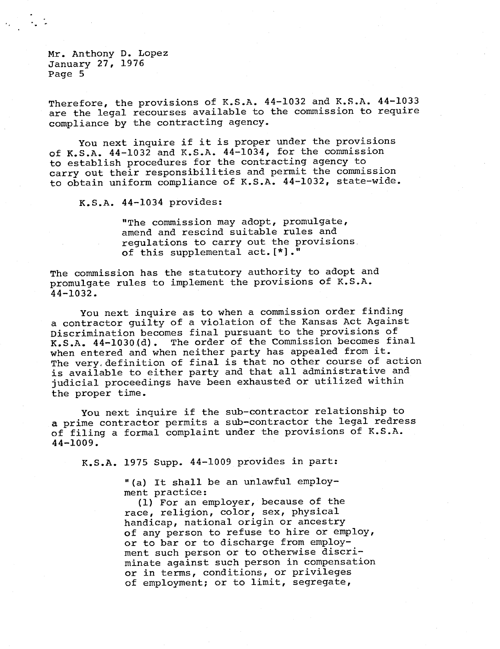Therefore, the provisions of K.S.A. 44-1032 and K.S.A. 44-1033 are the legal recourses available to the commission to require compliance by the contracting agency.

You next inquire if it is proper under the provisions of K.S.A. 44-1032 and K.S.A. 44-1034, for the commission to establish procedures for the contracting agency to carry out their responsibilities and permit the commission to obtain uniform compliance of K.S.A. 44-1032, state-wide.

K.S.A. 44-1034 provides:

"The commission may adopt, promulgate, amend and rescind suitable rules and regulations to carry out the provisions of this supplemental act.[\*]."

The commission has the statutory authority to adopt and promulgate rules to implement the provisions of K.S.A. 44-1032.

You next inquire as to when a commission order finding a contractor guilty of a violation of the Kansas Act Against Discrimination becomes final pursuant to the provisions of K.S.A. 44-1030(d). The order of the Commission becomes final when entered and when neither party has appealed from it. The very. definition of final is that no other course of action is available to either party and that all administrative and judicial proceedings have been exhausted or utilized within the proper time.

You next inquire if the sub-contractor relationship to a prime contractor permits a sub-contractor the legal redress of filing a formal complaint under the provisions of K.S.A. 44-1009.

K.S.A. 1975 Supp. 44-1009 provides in part:

"(a) It shall be an unlawful employment practice:

(1) For an employer, because of the race, religion, color, sex, physical handicap, national origin or ancestry of any person to refuse to hire or employ, or to bar or to discharge from employment such person or to otherwise discriminate against such person in compensation or in terms, conditions, or privileges of employment; or to limit, segregate,